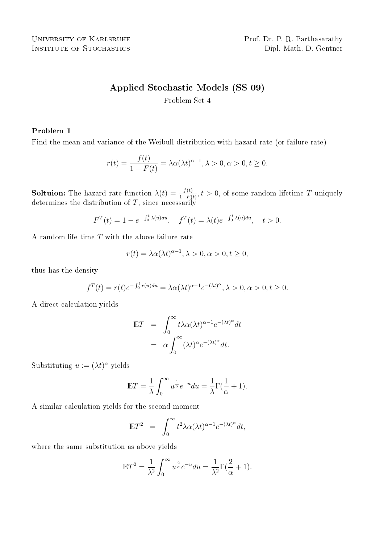# Applied Stochastic Models (SS 09)

Problem Set 4

# Problem 1

Find the mean and variance of the Weibull distribution with hazard rate (or failure rate)

$$
r(t) = \frac{f(t)}{1 - F(t)} = \lambda \alpha (\lambda t)^{\alpha - 1}, \lambda > 0, \alpha > 0, t \ge 0.
$$

**Soltuion:** The hazard rate function  $\lambda(t) = \frac{f(t)}{1-F(t)}$ ,  $t > 0$ , of some random lifetime T uniquely determines the distribution of  $T$ , since necessarily

$$
F^{T}(t) = 1 - e^{-\int_0^t \lambda(u) du}, \quad f^{T}(t) = \lambda(t) e^{-\int_0^t \lambda(u) du}, \quad t > 0.
$$

A random life time T with the above failure rate

$$
r(t) = \lambda \alpha(\lambda t)^{\alpha - 1}, \lambda > 0, \alpha > 0, t \ge 0,
$$

thus has the density

$$
f^{T}(t) = r(t)e^{-\int_0^t r(u)du} = \lambda \alpha(\lambda t)^{\alpha - 1} e^{-(\lambda t)^{\alpha}}, \lambda > 0, \alpha > 0, t \ge 0.
$$

A direct calculation yields

$$
\mathbb{E}T = \int_0^\infty t \lambda \alpha (\lambda t)^{\alpha - 1} e^{-(\lambda t)^{\alpha}} dt
$$

$$
= \alpha \int_0^\infty (\lambda t)^{\alpha} e^{-(\lambda t)^{\alpha}} dt.
$$

Substituting  $u := (\lambda t)^{\alpha}$  yields

$$
\mathbb{E}T = \frac{1}{\lambda} \int_0^\infty u^{\frac{1}{\alpha}} e^{-u} du = \frac{1}{\lambda} \Gamma(\frac{1}{\alpha} + 1).
$$

A similar calculation yields for the second moment

$$
\mathbb{E}T^2 = \int_0^\infty t^2 \lambda \alpha (\lambda t)^{\alpha - 1} e^{-(\lambda t)^{\alpha}} dt,
$$

where the same substitution as above yields

$$
\mathbb{E}T^2 = \frac{1}{\lambda^2} \int_0^\infty u^{\frac{2}{\alpha}} e^{-u} du = \frac{1}{\lambda^2} \Gamma(\frac{2}{\alpha} + 1).
$$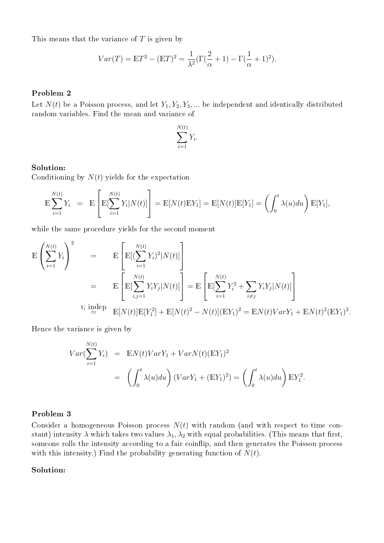This means that the variance of  $T$  is given by

$$
Var(T) = \mathbb{E}T^2 - (\mathbb{E}T)^2 = \frac{1}{\lambda^2}(\Gamma(\frac{2}{\alpha} + 1) - \Gamma(\frac{1}{\alpha} + 1)^2).
$$

## Problem 2

Let  $N(t)$  be a Poisson process, and let  $Y_1, Y_2, Y_3, \ldots$  be independent and identically distributed random variables. Find the mean and variance of

$$
\sum_{i=1}^{N(t)} Y_i.
$$

#### Solution:

Conditioning by  $N(t)$  yields for the expectation

$$
\mathbb{E}\sum_{i=1}^{N(t)}Y_i = \mathbb{E}\left[\mathbb{E}[\sum_{i=1}^{N(t)}Y_i|N(t)]\right] = \mathbb{E}[N(t)\mathbb{E}Y_1] = \mathbb{E}[N(t)]\mathbb{E}[Y_1] = \left(\int_0^t \lambda(u)du\right)\mathbb{E}[Y_1],
$$

while the same procedure yields for the second moment

$$
\mathbb{E}\left(\sum_{i=1}^{N(t)} Y_i\right)^2 = \mathbb{E}\left[\mathbb{E}[(\sum_{i=1}^{N(t)} Y_i)^2 | N(t)]\right]
$$
  
\n
$$
= \mathbb{E}\left[\mathbb{E}[\sum_{i,j=1}^{N(t)} Y_i Y_j | N(t)]\right] = \mathbb{E}\left[\mathbb{E}[\sum_{i=1}^{N(t)} Y_i^2 + \sum_{i \neq j} Y_i Y_j | N(t)]\right]
$$
  
\n
$$
Y_i \text{ indep } \mathbb{E}[N(t)] \mathbb{E}[Y_1^2] + \mathbb{E}[N(t)^2 - N(t)] (\mathbb{E}Y_1)^2 = \mathbb{E}N(t)VarY_1 + \mathbb{E}N(t)^2 (\mathbb{E}Y_1)^2.
$$

Hence the variance is given by

$$
Var(\sum_{i=1}^{N(t)} Y_i) = \mathbb{E}N(t)VarY_1 + VarN(t)(\mathbb{E}Y_1)^2
$$
  
= 
$$
\left(\int_0^t \lambda(u)du\right) (VarY_1 + (\mathbb{E}Y_1)^2) = \left(\int_0^t \lambda(u)du\right) \mathbb{E}Y_1^2.
$$

## Problem 3

Consider a homogeneous Poisson process  $N(t)$  with random (and with respect to time constant) intensity  $\lambda$  which takes two values  $\lambda_1, \lambda_2$  with equal probabilities. (This means that first, someone rolls the intensity according to a fair coinflip, and then generates the Poisson process with this intensity.) Find the probability generating function of  $N(t)$ .

#### Solution: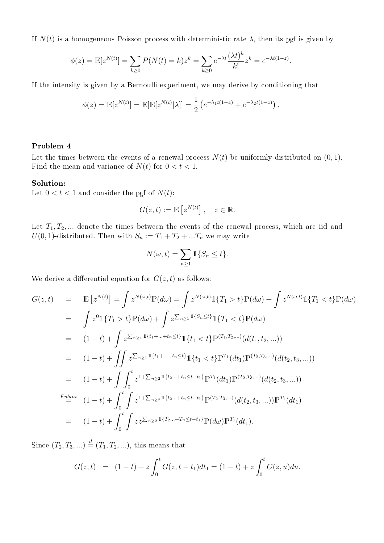If  $N(t)$  is a homogeneous Poisson process with deterministic rate  $\lambda$ , then its pgf is given by

$$
\phi(z) = \mathbb{E}[z^{N(t)}] = \sum_{k \ge 0} P(N(t) = k) z^k = \sum_{k \ge 0} e^{-\lambda t} \frac{(\lambda t)^k}{k!} z^k = e^{-\lambda t (1 - z)}.
$$

If the intensity is given by a Bernoulli experiment, we may derive by conditioning that

$$
\phi(z) = \mathbb{E}[z^{N(t)}] = \mathbb{E}[\mathbb{E}[z^{N(t)}|\lambda]] = \frac{1}{2} \left( e^{-\lambda_1 t(1-z)} + e^{-\lambda_2 t(1-z)} \right).
$$

### Problem 4

Let the times between the events of a renewal process  $N(t)$  be uniformly distributed on  $(0, 1)$ . Find the mean and variance of  $N(t)$  for  $0 < t < 1$ .

#### Solution:

Let  $0 < t < 1$  and consider the pgf of  $N(t)$ :

$$
G(z,t) := \mathbb{E}\left[z^{N(t)}\right], \quad z \in \mathbb{R}.
$$

Let  $T_1, T_2, \ldots$  denote the times between the events of the renewal process, which are iid and  $U(0, 1)$ -distributed. Then with  $S_n := T_1 + T_2 + ... T_n$  we may write

$$
N(\omega, t) = \sum_{n \ge 1} \mathbb{1} \{ S_n \le t \}.
$$

We derive a differential equation for  $G(z, t)$  as follows:

$$
G(z,t) = \mathbb{E}\left[z^{N(t)}\right] = \int z^{N(\omega,t)}\mathbb{P}(d\omega) = \int z^{N(\omega,t)}\mathbb{1}\{T_1 > t\}\mathbb{P}(d\omega) + \int z^{N(\omega,t)}\mathbb{1}\{T_1 < t\}\mathbb{P}(d\omega)
$$
  
\n
$$
= \int z^0\mathbb{1}\{T_1 > t\}\mathbb{P}(d\omega) + \int z^{\sum_{n\geq 1} \mathbb{1}\{s_n \leq t\}}\mathbb{1}\{T_1 < t\}\mathbb{P}(d\omega)
$$
  
\n
$$
= (1-t) + \int z^{\sum_{n\geq 1} \mathbb{1}\{t_1 + \ldots + t_n \leq t\}}\mathbb{1}\{t_1 < t\}\mathbb{P}^{(T_1, T_2, \ldots)}(d(t_1, t_2, \ldots))
$$
  
\n
$$
= (1-t) + \int \int z^{\sum_{n\geq 1} \mathbb{1}\{t_1 + \ldots + t_n \leq t\}}\mathbb{1}\{t_1 < t\}\mathbb{P}^{T_1}(dt_1)\mathbb{P}^{(T_2, T_3, \ldots)}(d(t_2, t_3, \ldots))
$$
  
\n
$$
= (1-t) + \int \int_0^t z^{1 + \sum_{n\geq 2} \mathbb{1}\{t_2 \ldots + t_n \leq t - t_1\}}\mathbb{P}^{T_1}(dt_1)\mathbb{P}^{(T_2, T_3, \ldots)}(d(t_2, t_3, \ldots))
$$
  
\n*F*<sub>ubin</sub>  
\n
$$
= (1-t) + \int_0^t \int z^{1 + \sum_{n\geq 2} \mathbb{1}\{t_2 \ldots + t_n \leq t - t_1\}}\mathbb{P}^{(T_2, T_3, \ldots)}(d(t_2, t_3, \ldots))\mathbb{P}^{T_1}(dt_1)
$$
  
\n
$$
= (1-t) + \int_0^t \int z z^{\sum_{n\geq 2} \mathbb{1}\{T_2 \ldots + T_n \leq t - t_1\}}\mathbb{P}(d\omega)\mathbb{P}^{T_1}(dt_1).
$$

Since  $(T_2, T_3, ...) \stackrel{d}{=} (T_1, T_2, ...)$ , this means that

$$
G(z,t) = (1-t) + z \int_0^t G(z,t-t_1)dt_1 = (1-t) + z \int_0^t G(z,u)du.
$$